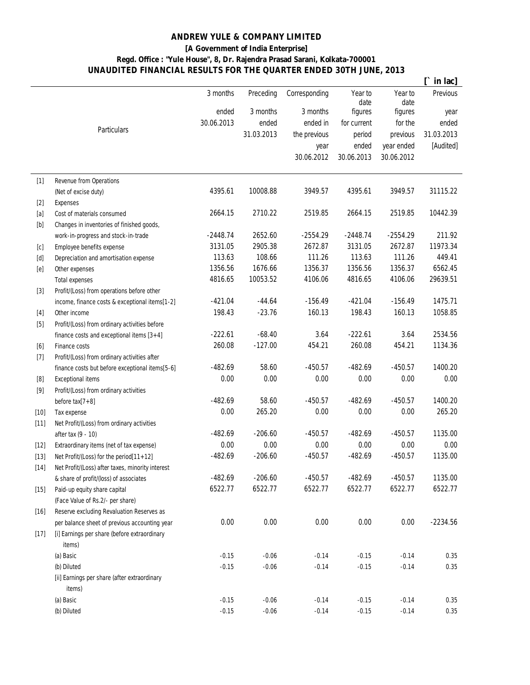## **ANDREW YULE & COMPANY LIMITED**

**[A Government of India Enterprise]**

## **Regd. Office : "Yule House", 8, Dr. Rajendra Prasad Sarani, Kolkata-700001 UNAUDITED FINANCIAL RESULTS FOR THE QUARTER ENDED 30TH JUNE, 2013**

|                                                                                                                                                                                                                                                                                                                                                                                                                                                                                                                                                                                                                     |                                                        |            |            |               |                 |                 | in lac]    |
|---------------------------------------------------------------------------------------------------------------------------------------------------------------------------------------------------------------------------------------------------------------------------------------------------------------------------------------------------------------------------------------------------------------------------------------------------------------------------------------------------------------------------------------------------------------------------------------------------------------------|--------------------------------------------------------|------------|------------|---------------|-----------------|-----------------|------------|
|                                                                                                                                                                                                                                                                                                                                                                                                                                                                                                                                                                                                                     |                                                        | 3 months   | Preceding  | Corresponding | Year to<br>date | Year to<br>date | Previous   |
|                                                                                                                                                                                                                                                                                                                                                                                                                                                                                                                                                                                                                     |                                                        | ended      | 3 months   | 3 months      | figures         | figures         | year       |
|                                                                                                                                                                                                                                                                                                                                                                                                                                                                                                                                                                                                                     |                                                        | 30.06.2013 | ended      | ended in      | for current     | for the         | ended      |
|                                                                                                                                                                                                                                                                                                                                                                                                                                                                                                                                                                                                                     | <b>Particulars</b>                                     |            | 31.03.2013 | the previous  | period          | previous        | 31.03.2013 |
|                                                                                                                                                                                                                                                                                                                                                                                                                                                                                                                                                                                                                     |                                                        |            |            | year          | ended           | year ended      | [Audited]  |
|                                                                                                                                                                                                                                                                                                                                                                                                                                                                                                                                                                                                                     |                                                        |            |            | 30.06.2012    | 30.06.2013      | 30.06.2012      |            |
|                                                                                                                                                                                                                                                                                                                                                                                                                                                                                                                                                                                                                     |                                                        |            |            |               |                 |                 |            |
| $[1]$                                                                                                                                                                                                                                                                                                                                                                                                                                                                                                                                                                                                               | Revenue from Operations                                |            |            |               |                 |                 |            |
|                                                                                                                                                                                                                                                                                                                                                                                                                                                                                                                                                                                                                     | (Net of excise duty)                                   | 4395.61    | 10008.88   | 3949.57       | 4395.61         | 3949.57         | 31115.22   |
| $[2]$                                                                                                                                                                                                                                                                                                                                                                                                                                                                                                                                                                                                               | <b>Expenses</b>                                        |            |            |               |                 |                 |            |
| $[a]$                                                                                                                                                                                                                                                                                                                                                                                                                                                                                                                                                                                                               | Cost of materials consumed                             | 2664.15    | 2710.22    | 2519.85       | 2664.15         | 2519.85         | 10442.39   |
| $[b] % \begin{center} % \includegraphics[width=\linewidth]{imagesSupplemental_3.png} % \end{center} % \caption { % Our method can be used for the image. % } % \label{fig:example} %$                                                                                                                                                                                                                                                                                                                                                                                                                               | Changes in inventories of finished goods,              |            |            |               |                 |                 |            |
|                                                                                                                                                                                                                                                                                                                                                                                                                                                                                                                                                                                                                     | work-in-progress and stock-in-trade                    | $-2448.74$ | 2652.60    | $-2554.29$    | $-2448.74$      | $-2554.29$      | 211.92     |
| [c]                                                                                                                                                                                                                                                                                                                                                                                                                                                                                                                                                                                                                 | Employee benefits expense                              | 3131.05    | 2905.38    | 2672.87       | 3131.05         | 2672.87         | 11973.34   |
| $[d] % \begin{center} % \includegraphics[width=\linewidth]{imagesSupplemental_3.png} % \end{center} % \caption { % \textit{Def}_l$ in the image \textit{Def}_l$ in the image \textit{Def}_l$ in the image \textit{Def}_l$ in the image \textit{Def}_l$ in the image \textit{Def}_l$ in the image \textit{Def}_l$ in the image \textit{Def}_l$ in the image \textit{Def}_l$ in the image \textit{Def}_l$ in the image \textit{Def}_l$ in the image \textit{Def}_l$ in the image \textit{Def}_l$ in the image \textit{Def}_l$ in the image \textit{Def}_l$ in the image \textit{Def}_l$ in the image \textit{Def}_l$$ | Depreciation and amortisation expense                  | 113.63     | 108.66     | 111.26        | 113.63          | 111.26          | 449.41     |
| [e]                                                                                                                                                                                                                                                                                                                                                                                                                                                                                                                                                                                                                 | Other expenses                                         | 1356.56    | 1676.66    | 1356.37       | 1356.56         | 1356.37         | 6562.45    |
|                                                                                                                                                                                                                                                                                                                                                                                                                                                                                                                                                                                                                     | <b>Total expenses</b>                                  | 4816.65    | 10053.52   | 4106.06       | 4816.65         | 4106.06         | 29639.51   |
| $[3]$                                                                                                                                                                                                                                                                                                                                                                                                                                                                                                                                                                                                               | Profit/(Loss) from operations before other             |            |            |               |                 |                 |            |
|                                                                                                                                                                                                                                                                                                                                                                                                                                                                                                                                                                                                                     | income, finance costs & exceptional items[1-2]         | $-421.04$  | $-44.64$   | $-156.49$     | $-421.04$       | $-156.49$       | 1475.71    |
| $[4]$                                                                                                                                                                                                                                                                                                                                                                                                                                                                                                                                                                                                               | Other income                                           | 198.43     | $-23.76$   | 160.13        | 198.43          | 160.13          | 1058.85    |
| $[5]$                                                                                                                                                                                                                                                                                                                                                                                                                                                                                                                                                                                                               | Profit/(Loss) from ordinary activities before          |            |            |               |                 |                 |            |
|                                                                                                                                                                                                                                                                                                                                                                                                                                                                                                                                                                                                                     | finance costs and exceptional items $[3+4]$            | $-222.61$  | $-68.40$   | 3.64          | $-222.61$       | 3.64            | 2534.56    |
| [6]                                                                                                                                                                                                                                                                                                                                                                                                                                                                                                                                                                                                                 | Finance costs                                          | 260.08     | $-127.00$  | 454.21        | 260.08          | 454.21          | 1134.36    |
| $[7]$                                                                                                                                                                                                                                                                                                                                                                                                                                                                                                                                                                                                               | Profit/(Loss) from ordinary activities after           |            |            |               |                 |                 |            |
|                                                                                                                                                                                                                                                                                                                                                                                                                                                                                                                                                                                                                     | finance costs but before exceptional items[5-6]        | $-482.69$  | 58.60      | $-450.57$     | $-482.69$       | $-450.57$       | 1400.20    |
| $[8] % \includegraphics[width=0.9\columnwidth]{figures/fig_04a.pdf} \caption{The 3D (black) model for the top of the top of the top of the left. The left is the same as in the right.} \label{fig:2} %$                                                                                                                                                                                                                                                                                                                                                                                                            | <b>Exceptional items</b>                               | 0.00       | 0.00       | 0.00          | 0.00            | 0.00            | 0.00       |
| $[9]$                                                                                                                                                                                                                                                                                                                                                                                                                                                                                                                                                                                                               | Profit/(Loss) from ordinary activities                 |            |            |               |                 |                 |            |
|                                                                                                                                                                                                                                                                                                                                                                                                                                                                                                                                                                                                                     | before $tax[7+8]$                                      | $-482.69$  | 58.60      | $-450.57$     | $-482.69$       | $-450.57$       | 1400.20    |
| $[10]$                                                                                                                                                                                                                                                                                                                                                                                                                                                                                                                                                                                                              | Tax expense                                            | 0.00       | 265.20     | 0.00          | 0.00            | 0.00            | 265.20     |
| $[11]$                                                                                                                                                                                                                                                                                                                                                                                                                                                                                                                                                                                                              | Net Profit/(Loss) from ordinary activities             |            |            |               |                 |                 |            |
|                                                                                                                                                                                                                                                                                                                                                                                                                                                                                                                                                                                                                     | after tax (9 - 10)                                     | $-482.69$  | $-206.60$  | $-450.57$     | $-482.69$       | $-450.57$       | 1135.00    |
| $[12]$                                                                                                                                                                                                                                                                                                                                                                                                                                                                                                                                                                                                              | Extraordinary items (net of tax expense)               | 0.00       | 0.00       | 0.00          | 0.00            | 0.00            | 0.00       |
| $[13]$                                                                                                                                                                                                                                                                                                                                                                                                                                                                                                                                                                                                              | Net Profit/(Loss) for the period[11+12]                | $-482.69$  | $-206.60$  | $-450.57$     | $-482.69$       | $-450.57$       | 1135.00    |
| $\left[ 14\right]$                                                                                                                                                                                                                                                                                                                                                                                                                                                                                                                                                                                                  | Net Profit/(Loss) after taxes, minority interest       |            |            |               |                 |                 |            |
|                                                                                                                                                                                                                                                                                                                                                                                                                                                                                                                                                                                                                     | & share of profit/(loss) of associates                 | $-482.69$  | $-206.60$  | $-450.57$     | $-482.69$       | $-450.57$       | 1135.00    |
| $[15]$                                                                                                                                                                                                                                                                                                                                                                                                                                                                                                                                                                                                              | Paid-up equity share capital                           | 6522.77    | 6522.77    | 6522.77       | 6522.77         | 6522.77         | 6522.77    |
|                                                                                                                                                                                                                                                                                                                                                                                                                                                                                                                                                                                                                     | (Face Value of Rs.2/- per share)                       |            |            |               |                 |                 |            |
| $[16]$                                                                                                                                                                                                                                                                                                                                                                                                                                                                                                                                                                                                              | Reserve excluding Revaluation Reserves as              |            |            |               |                 |                 |            |
|                                                                                                                                                                                                                                                                                                                                                                                                                                                                                                                                                                                                                     | per balance sheet of previous accounting year          | 0.00       | 0.00       | 0.00          | 0.00            | 0.00            | $-2234.56$ |
| $[17]$                                                                                                                                                                                                                                                                                                                                                                                                                                                                                                                                                                                                              | [i] Earnings per share (before extraordinary           |            |            |               |                 |                 |            |
|                                                                                                                                                                                                                                                                                                                                                                                                                                                                                                                                                                                                                     | items)                                                 |            |            |               |                 |                 |            |
|                                                                                                                                                                                                                                                                                                                                                                                                                                                                                                                                                                                                                     | (a) Basic                                              | $-0.15$    | $-0.06$    | $-0.14$       | $-0.15$         | $-0.14$         | 0.35       |
|                                                                                                                                                                                                                                                                                                                                                                                                                                                                                                                                                                                                                     | (b) Diluted                                            | $-0.15$    | $-0.06$    | $-0.14$       | $-0.15$         | $-0.14$         | 0.35       |
|                                                                                                                                                                                                                                                                                                                                                                                                                                                                                                                                                                                                                     | [ii] Earnings per share (after extraordinary<br>items) |            |            |               |                 |                 |            |
|                                                                                                                                                                                                                                                                                                                                                                                                                                                                                                                                                                                                                     | (a) Basic                                              | $-0.15$    | $-0.06$    | $-0.14$       | $-0.15$         | $-0.14$         | 0.35       |
|                                                                                                                                                                                                                                                                                                                                                                                                                                                                                                                                                                                                                     | (b) Diluted                                            | $-0.15$    | $-0.06$    | $-0.14$       | $-0.15$         | $-0.14$         | 0.35       |
|                                                                                                                                                                                                                                                                                                                                                                                                                                                                                                                                                                                                                     |                                                        |            |            |               |                 |                 |            |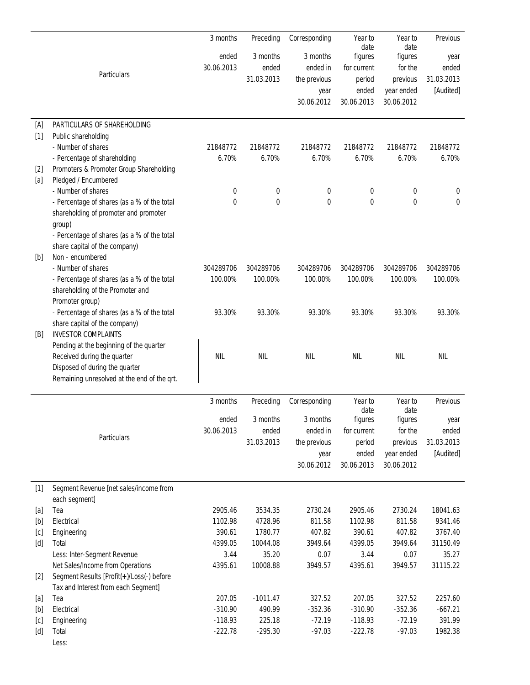|       |                                             | 3 months   | Preceding  | Corresponding | Year to<br>date | Year to<br>date | <b>Previous</b> |
|-------|---------------------------------------------|------------|------------|---------------|-----------------|-----------------|-----------------|
|       |                                             | ended      | 3 months   | 3 months      | figures         | figures         | year            |
|       |                                             | 30.06.2013 | ended      | ended in      | for current     | for the         | ended           |
|       | Particulars                                 |            | 31.03.2013 | the previous  | period          | previous        | 31.03.2013      |
|       |                                             |            |            | year          | ended           | year ended      | [Audited]       |
|       |                                             |            |            | 30.06.2012    | 30.06.2013      | 30.06.2012      |                 |
|       |                                             |            |            |               |                 |                 |                 |
| [A]   | PARTICULARS OF SHAREHOLDING                 |            |            |               |                 |                 |                 |
| $[1]$ | Public shareholding                         |            |            |               |                 |                 |                 |
|       | - Number of shares                          | 21848772   | 21848772   | 21848772      | 21848772        | 21848772        | 21848772        |
|       | - Percentage of shareholding                | 6.70%      | 6.70%      | 6.70%         | 6.70%           | 6.70%           | 6.70%           |
| $[2]$ | Promoters & Promoter Group Shareholding     |            |            |               |                 |                 |                 |
| [a]   | Pledged / Encumbered                        |            |            |               |                 |                 |                 |
|       | - Number of shares                          | 0          | 0          | 0             | 0               | 0               | 0               |
|       | - Percentage of shares (as a % of the total | 0          | 0          | 0             | 0               | $\bf{0}$        | 0               |
|       | shareholding of promoter and promoter       |            |            |               |                 |                 |                 |
|       | group)                                      |            |            |               |                 |                 |                 |
|       | - Percentage of shares (as a % of the total |            |            |               |                 |                 |                 |
|       | share capital of the company)               |            |            |               |                 |                 |                 |
| [b]   | Non - encumbered                            |            |            |               |                 |                 |                 |
|       | - Number of shares                          | 304289706  | 304289706  | 304289706     | 304289706       | 304289706       | 304289706       |
|       | - Percentage of shares (as a % of the total | 100.00%    | 100.00%    | 100.00%       | 100.00%         | 100.00%         | 100.00%         |
|       | shareholding of the Promoter and            |            |            |               |                 |                 |                 |
|       | Promoter group)                             |            |            |               |                 |                 |                 |
|       | - Percentage of shares (as a % of the total | 93.30%     | 93.30%     | 93.30%        | 93.30%          | 93.30%          | 93.30%          |
|       | share capital of the company)               |            |            |               |                 |                 |                 |
| [B]   | <b>INVESTOR COMPLAINTS</b>                  |            |            |               |                 |                 |                 |
|       | Pending at the beginning of the quarter     |            |            |               |                 |                 |                 |
|       | Received during the quarter                 | <b>NIL</b> | <b>NIL</b> | <b>NIL</b>    | <b>NIL</b>      | <b>NIL</b>      | <b>NIL</b>      |
|       | Disposed of during the quarter              |            |            |               |                 |                 |                 |
|       | Remaining unresolved at the end of the qrt. |            |            |               |                 |                 |                 |
|       |                                             | 3 months   | Preceding  | Corresponding | Year to         | Year to         | Previous        |
|       |                                             | ended      | 3 months   | 3 months      | date<br>figures | date<br>figures | year            |
|       |                                             | 30.06.2013 | ended      | ended in      | for current     | for the         | ended           |
|       | Particulars                                 |            | 31.03.2013 | the previous  | period          | previous        | 31.03.2013      |
|       |                                             |            |            |               | ended           | year ended      | [Audited]       |
|       |                                             |            |            | year          | 30.06.2013      |                 |                 |
|       |                                             |            |            | 30.06.2012    |                 | 30.06.2012      |                 |
| $[1]$ | Segment Revenue [net sales/income from      |            |            |               |                 |                 |                 |
|       | each segment]                               |            |            |               |                 |                 |                 |
| [a]   | Tea                                         | 2905.46    | 3534.35    | 2730.24       | 2905.46         | 2730.24         | 18041.63        |
| [b]   | Electrical                                  | 1102.98    | 4728.96    | 811.58        | 1102.98         | 811.58          | 9341.46         |
| [c]   | Engineering                                 | 390.61     | 1780.77    | 407.82        | 390.61          | 407.82          | 3767.40         |
| [d]   | Total                                       | 4399.05    | 10044.08   | 3949.64       | 4399.05         | 3949.64         | 31150.49        |
|       | Less: Inter-Segment Revenue                 | 3.44       | 35.20      | 0.07          | 3.44            | 0.07            | 35.27           |
|       | Net Sales/Income from Operations            | 4395.61    | 10008.88   | 3949.57       | 4395.61         | 3949.57         | 31115.22        |
| $[2]$ | Segment Results [Profit(+)/Loss(-) before   |            |            |               |                 |                 |                 |
|       | Tax and Interest from each Segment]         |            |            |               |                 |                 |                 |
| [a]   | Tea                                         | 207.05     | $-1011.47$ | 327.52        | 207.05          | 327.52          | 2257.60         |
| [b]   | Electrical                                  | $-310.90$  | 490.99     | $-352.36$     | $-310.90$       | $-352.36$       | $-667.21$       |
| [c]   | Engineering                                 | $-118.93$  | 225.18     | $-72.19$      | $-118.93$       | $-72.19$        | 391.99          |
| [d]   | Total                                       | $-222.78$  | $-295.30$  | $-97.03$      | $-222.78$       | $-97.03$        | 1982.38         |
|       | Less:                                       |            |            |               |                 |                 |                 |